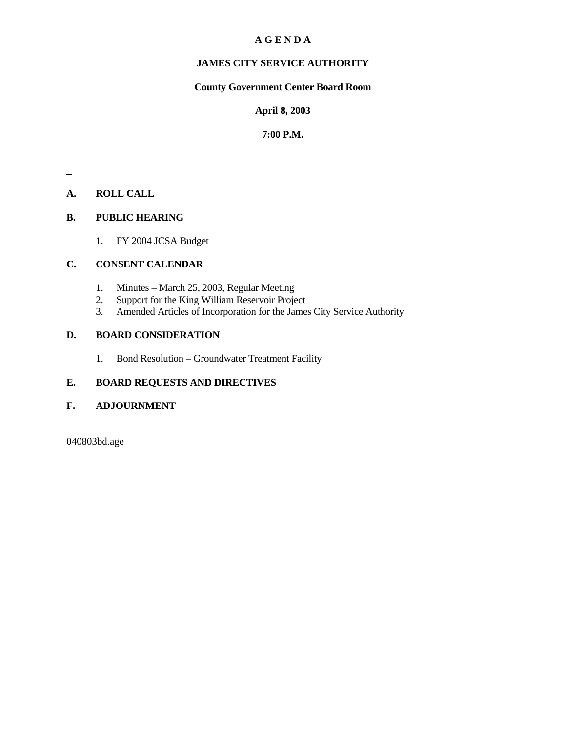# **A G E N D A**

# **JAMES CITY SERVICE AUTHORITY**

# **County Government Center Board Room**

#### **April 8, 2003**

### **7:00 P.M.**

# **A. ROLL CALL**

#### **B. PUBLIC HEARING**

1. FY 2004 JCSA Budget

#### **C. CONSENT CALENDAR**

- 1. Minutes March 25, 2003, Regular Meeting
- 2. Support for the King William Reservoir Project
- 3. Amended Articles of Incorporation for the James City Service Authority

#### **D. BOARD CONSIDERATION**

1. Bond Resolution – Groundwater Treatment Facility

# **E. BOARD REQUESTS AND DIRECTIVES**

### **F. ADJOURNMENT**

040803bd.age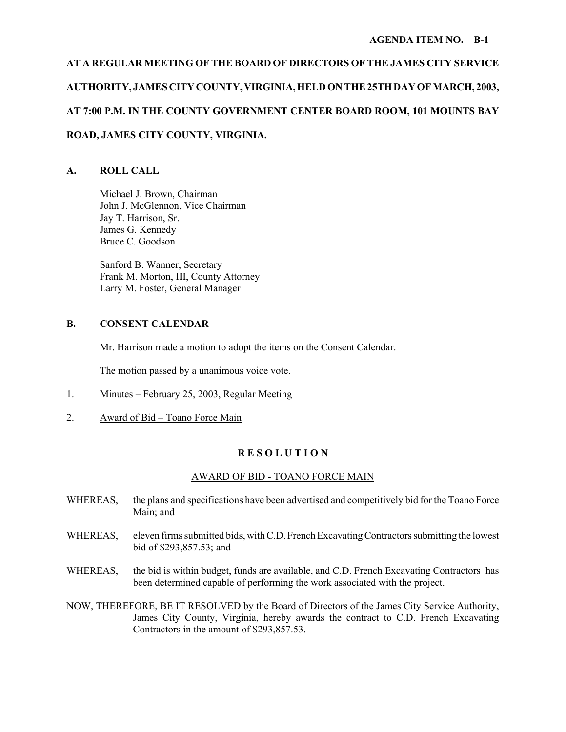# **AT A REGULAR MEETING OF THE BOARD OF DIRECTORS OF THE JAMES CITY SERVICE AUTHORITY, JAMES CITY COUNTY, VIRGINIA, HELD ON THE 25TH DAY OF MARCH, 2003, AT 7:00 P.M. IN THE COUNTY GOVERNMENT CENTER BOARD ROOM, 101 MOUNTS BAY ROAD, JAMES CITY COUNTY, VIRGINIA.**

# **A. ROLL CALL**

Michael J. Brown, Chairman John J. McGlennon, Vice Chairman Jay T. Harrison, Sr. James G. Kennedy Bruce C. Goodson

Sanford B. Wanner, Secretary Frank M. Morton, III, County Attorney Larry M. Foster, General Manager

# **B. CONSENT CALENDAR**

Mr. Harrison made a motion to adopt the items on the Consent Calendar.

The motion passed by a unanimous voice vote.

- 1. Minutes February 25, 2003, Regular Meeting
- 2. Award of Bid Toano Force Main

# **R E S O L U T I O N**

# AWARD OF BID - TOANO FORCE MAIN

- WHEREAS, the plans and specifications have been advertised and competitively bid for the Toano Force Main; and
- WHEREAS, eleven firms submitted bids, with C.D. French Excavating Contractors submitting the lowest bid of \$293,857.53; and
- WHEREAS, the bid is within budget, funds are available, and C.D. French Excavating Contractors has been determined capable of performing the work associated with the project.
- NOW, THEREFORE, BE IT RESOLVED by the Board of Directors of the James City Service Authority, James City County, Virginia, hereby awards the contract to C.D. French Excavating Contractors in the amount of \$293,857.53.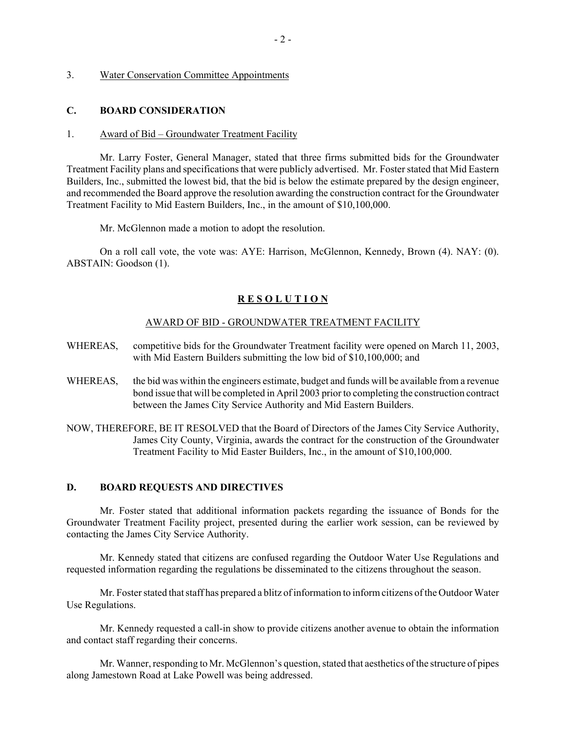#### 3. Water Conservation Committee Appointments

#### **C. BOARD CONSIDERATION**

#### 1. Award of Bid – Groundwater Treatment Facility

Mr. Larry Foster, General Manager, stated that three firms submitted bids for the Groundwater Treatment Facility plans and specifications that were publicly advertised. Mr. Foster stated that Mid Eastern Builders, Inc., submitted the lowest bid, that the bid is below the estimate prepared by the design engineer, and recommended the Board approve the resolution awarding the construction contract for the Groundwater Treatment Facility to Mid Eastern Builders, Inc., in the amount of \$10,100,000.

Mr. McGlennon made a motion to adopt the resolution.

On a roll call vote, the vote was: AYE: Harrison, McGlennon, Kennedy, Brown (4). NAY: (0). ABSTAIN: Goodson (1).

#### **R E S O L U T I O N**

#### AWARD OF BID - GROUNDWATER TREATMENT FACILITY

- WHEREAS, competitive bids for the Groundwater Treatment facility were opened on March 11, 2003, with Mid Eastern Builders submitting the low bid of \$10,100,000; and
- WHEREAS, the bid was within the engineers estimate, budget and funds will be available from a revenue bond issue that will be completed in April 2003 prior to completing the construction contract between the James City Service Authority and Mid Eastern Builders.
- NOW, THEREFORE, BE IT RESOLVED that the Board of Directors of the James City Service Authority, James City County, Virginia, awards the contract for the construction of the Groundwater Treatment Facility to Mid Easter Builders, Inc., in the amount of \$10,100,000.

### **D. BOARD REQUESTS AND DIRECTIVES**

Mr. Foster stated that additional information packets regarding the issuance of Bonds for the Groundwater Treatment Facility project, presented during the earlier work session, can be reviewed by contacting the James City Service Authority.

Mr. Kennedy stated that citizens are confused regarding the Outdoor Water Use Regulations and requested information regarding the regulations be disseminated to the citizens throughout the season.

Mr. Foster stated that staff has prepared a blitz of information to inform citizens of the Outdoor Water Use Regulations.

Mr. Kennedy requested a call-in show to provide citizens another avenue to obtain the information and contact staff regarding their concerns.

Mr. Wanner, responding to Mr. McGlennon's question, stated that aesthetics of the structure of pipes along Jamestown Road at Lake Powell was being addressed.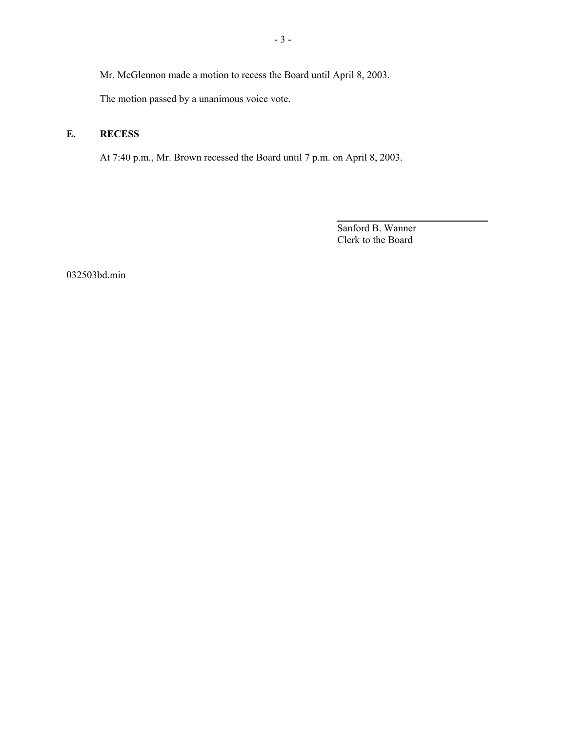Mr. McGlennon made a motion to recess the Board until April 8, 2003.

The motion passed by a unanimous voice vote.

# **E. RECESS**

At 7:40 p.m., Mr. Brown recessed the Board until 7 p.m. on April 8, 2003.

Sanford B. Wanner Clerk to the Board

l

032503bd.min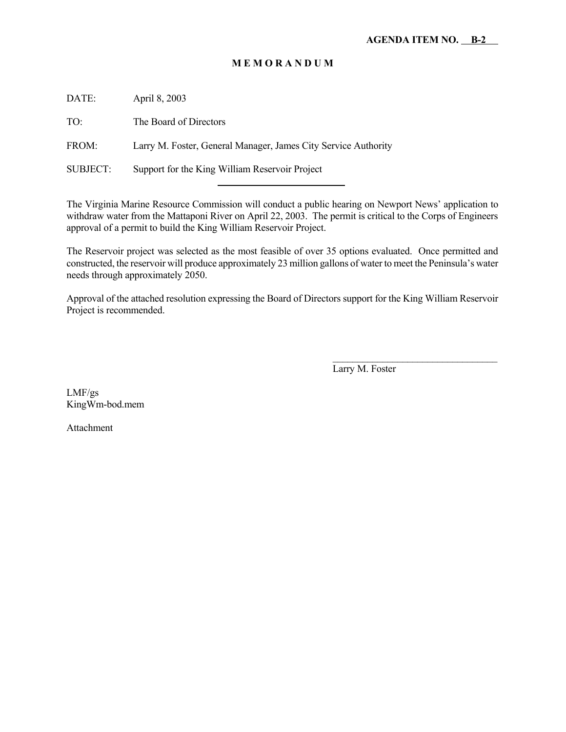# **M E M O R A N D U M**

DATE: April 8, 2003

TO: The Board of Directors

FROM: Larry M. Foster, General Manager, James City Service Authority

l

SUBJECT: Support for the King William Reservoir Project

The Virginia Marine Resource Commission will conduct a public hearing on Newport News' application to withdraw water from the Mattaponi River on April 22, 2003. The permit is critical to the Corps of Engineers approval of a permit to build the King William Reservoir Project.

The Reservoir project was selected as the most feasible of over 35 options evaluated. Once permitted and constructed, the reservoir will produce approximately 23 million gallons of water to meet the Peninsula's water needs through approximately 2050.

Approval of the attached resolution expressing the Board of Directors support for the King William Reservoir Project is recommended.

Larry M. Foster

 $\mathcal{L}_\text{max}$ 

LMF/gs KingWm-bod.mem

Attachment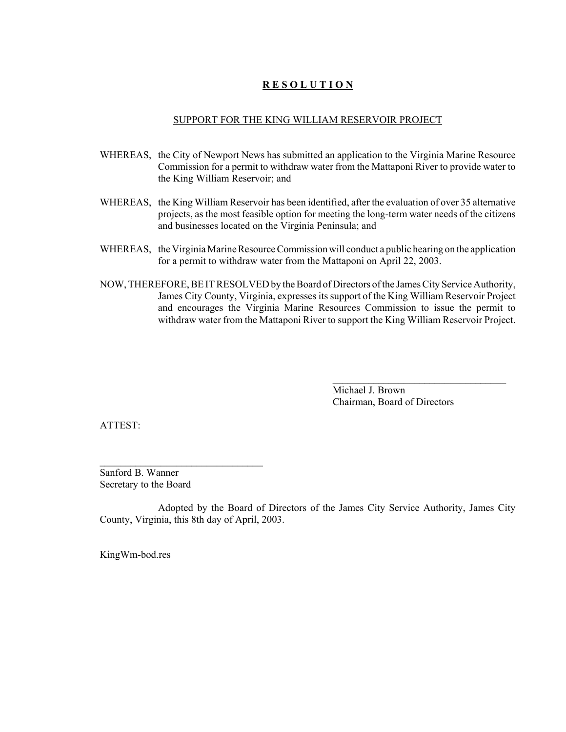# **R E S O L U T I O N**

#### SUPPORT FOR THE KING WILLIAM RESERVOIR PROJECT

- WHEREAS, the City of Newport News has submitted an application to the Virginia Marine Resource Commission for a permit to withdraw water from the Mattaponi River to provide water to the King William Reservoir; and
- WHEREAS, the King William Reservoir has been identified, after the evaluation of over 35 alternative projects, as the most feasible option for meeting the long-term water needs of the citizens and businesses located on the Virginia Peninsula; and
- WHEREAS, the Virginia Marine Resource Commission will conduct a public hearing on the application for a permit to withdraw water from the Mattaponi on April 22, 2003.
- NOW, THEREFORE, BE IT RESOLVED by the Board of Directors of the James City Service Authority, James City County, Virginia, expresses its support of the King William Reservoir Project and encourages the Virginia Marine Resources Commission to issue the permit to withdraw water from the Mattaponi River to support the King William Reservoir Project.

Michael J. Brown Chairman, Board of Directors

 $\mathcal{L}_\text{max}$ 

ATTEST:

Sanford B. Wanner Secretary to the Board

Adopted by the Board of Directors of the James City Service Authority, James City County, Virginia, this 8th day of April, 2003.

KingWm-bod.res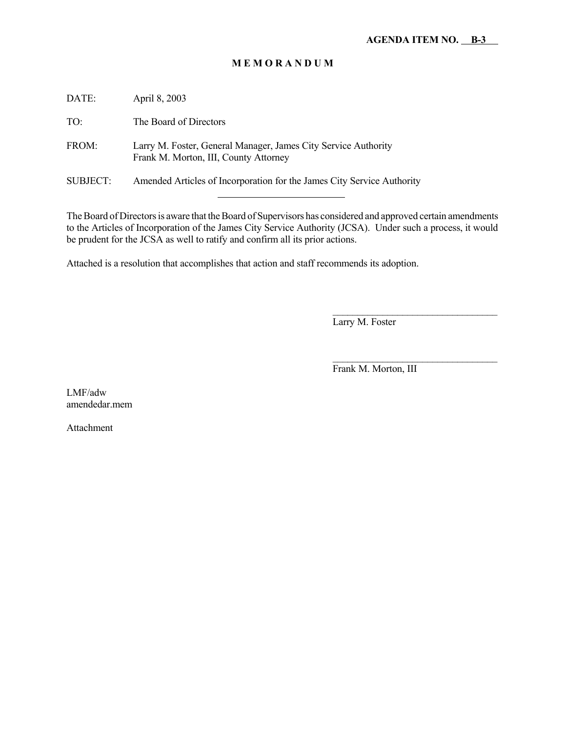# **M E M O R A N D U M**

| DATE:           | April 8, 2003                                                                                           |
|-----------------|---------------------------------------------------------------------------------------------------------|
| TO:             | The Board of Directors                                                                                  |
| FROM:           | Larry M. Foster, General Manager, James City Service Authority<br>Frank M. Morton, III, County Attorney |
| <b>SUBJECT:</b> | Amended Articles of Incorporation for the James City Service Authority                                  |
|                 |                                                                                                         |

The Board of Directors is aware that the Board of Supervisors has considered and approved certain amendments to the Articles of Incorporation of the James City Service Authority (JCSA). Under such a process, it would be prudent for the JCSA as well to ratify and confirm all its prior actions.

Attached is a resolution that accomplishes that action and staff recommends its adoption.

Larry M. Foster

Frank M. Morton, III

 $\mathcal{L}_\text{max}$  and  $\mathcal{L}_\text{max}$  and  $\mathcal{L}_\text{max}$  and  $\mathcal{L}_\text{max}$ 

 $\mathcal{L}_\text{max}$ 

LMF/adw amendedar.mem

Attachment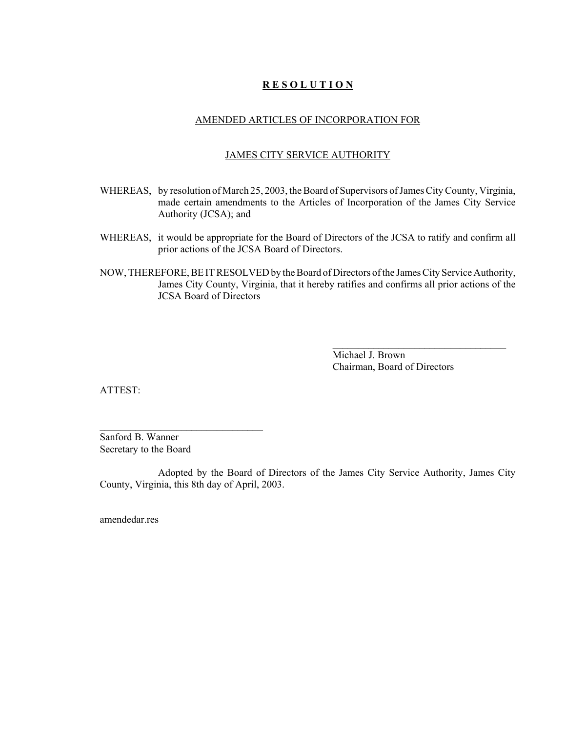# **R E S O L U T I O N**

#### AMENDED ARTICLES OF INCORPORATION FOR

#### JAMES CITY SERVICE AUTHORITY

- WHEREAS, by resolution of March 25, 2003, the Board of Supervisors of James City County, Virginia, made certain amendments to the Articles of Incorporation of the James City Service Authority (JCSA); and
- WHEREAS, it would be appropriate for the Board of Directors of the JCSA to ratify and confirm all prior actions of the JCSA Board of Directors.
- NOW, THEREFORE, BE IT RESOLVED by the Board of Directors of the James City Service Authority, James City County, Virginia, that it hereby ratifies and confirms all prior actions of the JCSA Board of Directors

Michael J. Brown Chairman, Board of Directors

 $\mathcal{L}_\text{max}$ 

ATTEST:

Sanford B. Wanner Secretary to the Board

 $\mathcal{L}_\text{max}$  , where  $\mathcal{L}_\text{max}$  is the set of the set of the set of the set of the set of the set of the set of the set of the set of the set of the set of the set of the set of the set of the set of the set of the se

Adopted by the Board of Directors of the James City Service Authority, James City County, Virginia, this 8th day of April, 2003.

amendedar.res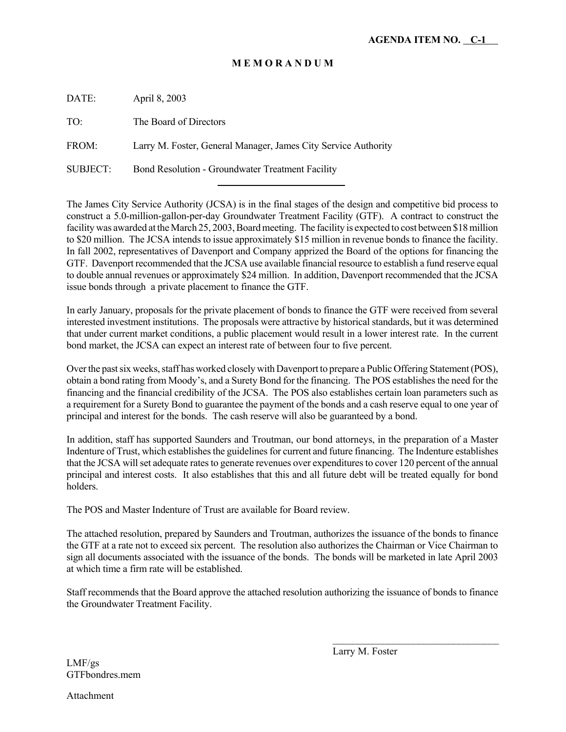# **M E M O R A N D U M**

DATE: April 8, 2003 TO: The Board of Directors FROM: Larry M. Foster, General Manager, James City Service Authority

SUBJECT: Bond Resolution - Groundwater Treatment Facility

l

The James City Service Authority (JCSA) is in the final stages of the design and competitive bid process to construct a 5.0-million-gallon-per-day Groundwater Treatment Facility (GTF). A contract to construct the facility was awarded at the March 25, 2003, Board meeting. The facility is expected to cost between \$18 million to \$20 million. The JCSA intends to issue approximately \$15 million in revenue bonds to finance the facility. In fall 2002, representatives of Davenport and Company apprized the Board of the options for financing the GTF. Davenport recommended that the JCSA use available financial resource to establish a fund reserve equal to double annual revenues or approximately \$24 million. In addition, Davenport recommended that the JCSA issue bonds through a private placement to finance the GTF.

In early January, proposals for the private placement of bonds to finance the GTF were received from several interested investment institutions. The proposals were attractive by historical standards, but it was determined that under current market conditions, a public placement would result in a lower interest rate. In the current bond market, the JCSA can expect an interest rate of between four to five percent.

Over the past six weeks, staff has worked closely with Davenport to prepare a Public Offering Statement (POS), obtain a bond rating from Moody's, and a Surety Bond for the financing. The POS establishes the need for the financing and the financial credibility of the JCSA. The POS also establishes certain loan parameters such as a requirement for a Surety Bond to guarantee the payment of the bonds and a cash reserve equal to one year of principal and interest for the bonds. The cash reserve will also be guaranteed by a bond.

In addition, staff has supported Saunders and Troutman, our bond attorneys, in the preparation of a Master Indenture of Trust, which establishes the guidelines for current and future financing. The Indenture establishes that the JCSA will set adequate rates to generate revenues over expenditures to cover 120 percent of the annual principal and interest costs. It also establishes that this and all future debt will be treated equally for bond holders.

The POS and Master Indenture of Trust are available for Board review.

The attached resolution, prepared by Saunders and Troutman, authorizes the issuance of the bonds to finance the GTF at a rate not to exceed six percent. The resolution also authorizes the Chairman or Vice Chairman to sign all documents associated with the issuance of the bonds. The bonds will be marketed in late April 2003 at which time a firm rate will be established.

Staff recommends that the Board approve the attached resolution authorizing the issuance of bonds to finance the Groundwater Treatment Facility.

Larry M. Foster

 $\mathcal{L}_\text{max}$ 

LMF/gs GTFbondres.mem

Attachment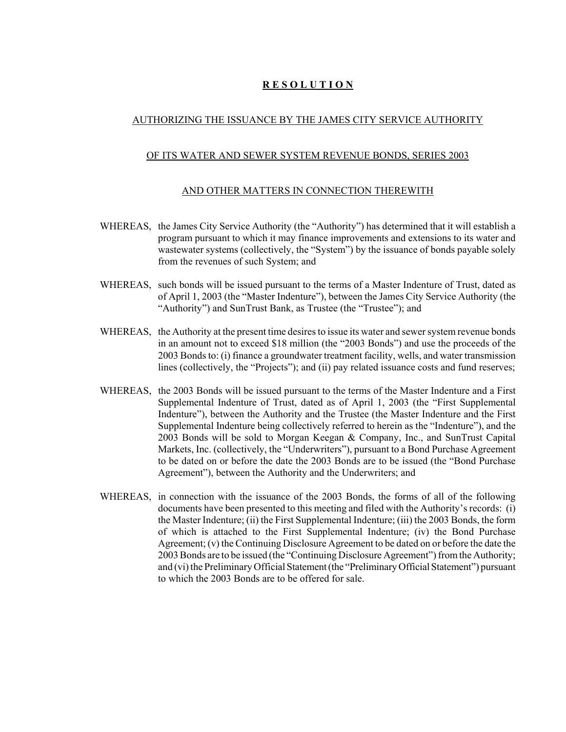# **R E S O L U T I O N**

# AUTHORIZING THE ISSUANCE BY THE JAMES CITY SERVICE AUTHORITY

# OF ITS WATER AND SEWER SYSTEM REVENUE BONDS, SERIES 2003

# AND OTHER MATTERS IN CONNECTION THEREWITH

- WHEREAS, the James City Service Authority (the "Authority") has determined that it will establish a program pursuant to which it may finance improvements and extensions to its water and wastewater systems (collectively, the "System") by the issuance of bonds payable solely from the revenues of such System; and
- WHEREAS, such bonds will be issued pursuant to the terms of a Master Indenture of Trust, dated as of April 1, 2003 (the "Master Indenture"), between the James City Service Authority (the "Authority") and SunTrust Bank, as Trustee (the "Trustee"); and
- WHEREAS, the Authority at the present time desires to issue its water and sewer system revenue bonds in an amount not to exceed \$18 million (the "2003 Bonds") and use the proceeds of the 2003 Bonds to: (i) finance a groundwater treatment facility, wells, and water transmission lines (collectively, the "Projects"); and (ii) pay related issuance costs and fund reserves;
- WHEREAS, the 2003 Bonds will be issued pursuant to the terms of the Master Indenture and a First Supplemental Indenture of Trust, dated as of April 1, 2003 (the "First Supplemental Indenture"), between the Authority and the Trustee (the Master Indenture and the First Supplemental Indenture being collectively referred to herein as the "Indenture"), and the 2003 Bonds will be sold to Morgan Keegan & Company, Inc., and SunTrust Capital Markets, Inc. (collectively, the "Underwriters"), pursuant to a Bond Purchase Agreement to be dated on or before the date the 2003 Bonds are to be issued (the "Bond Purchase Agreement"), between the Authority and the Underwriters; and
- WHEREAS, in connection with the issuance of the 2003 Bonds, the forms of all of the following documents have been presented to this meeting and filed with the Authority's records: (i) the Master Indenture; (ii) the First Supplemental Indenture; (iii) the 2003 Bonds, the form of which is attached to the First Supplemental Indenture; (iv) the Bond Purchase Agreement; (v) the Continuing Disclosure Agreement to be dated on or before the date the 2003 Bonds are to be issued (the "Continuing Disclosure Agreement") from the Authority; and (vi) the Preliminary Official Statement (the "Preliminary Official Statement") pursuant to which the 2003 Bonds are to be offered for sale.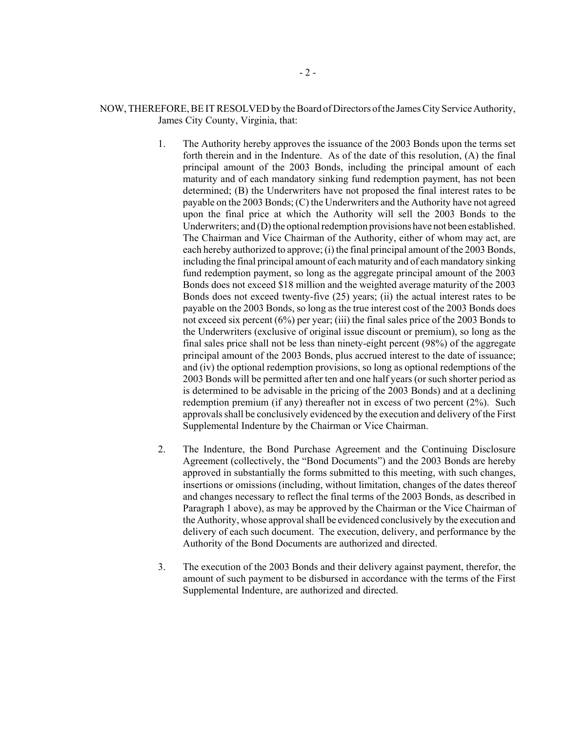### NOW, THEREFORE, BE IT RESOLVED by the Board of Directors of the James City Service Authority, James City County, Virginia, that:

- 1. The Authority hereby approves the issuance of the 2003 Bonds upon the terms set forth therein and in the Indenture. As of the date of this resolution, (A) the final principal amount of the 2003 Bonds, including the principal amount of each maturity and of each mandatory sinking fund redemption payment, has not been determined; (B) the Underwriters have not proposed the final interest rates to be payable on the 2003 Bonds; (C) the Underwriters and the Authority have not agreed upon the final price at which the Authority will sell the 2003 Bonds to the Underwriters; and (D) the optional redemption provisions have not been established. The Chairman and Vice Chairman of the Authority, either of whom may act, are each hereby authorized to approve; (i) the final principal amount of the 2003 Bonds, including the final principal amount of each maturity and of each mandatory sinking fund redemption payment, so long as the aggregate principal amount of the 2003 Bonds does not exceed \$18 million and the weighted average maturity of the 2003 Bonds does not exceed twenty-five (25) years; (ii) the actual interest rates to be payable on the 2003 Bonds, so long as the true interest cost of the 2003 Bonds does not exceed six percent (6%) per year; (iii) the final sales price of the 2003 Bonds to the Underwriters (exclusive of original issue discount or premium), so long as the final sales price shall not be less than ninety-eight percent (98%) of the aggregate principal amount of the 2003 Bonds, plus accrued interest to the date of issuance; and (iv) the optional redemption provisions, so long as optional redemptions of the 2003 Bonds will be permitted after ten and one half years (or such shorter period as is determined to be advisable in the pricing of the 2003 Bonds) and at a declining redemption premium (if any) thereafter not in excess of two percent (2%). Such approvals shall be conclusively evidenced by the execution and delivery of the First Supplemental Indenture by the Chairman or Vice Chairman.
- 2. The Indenture, the Bond Purchase Agreement and the Continuing Disclosure Agreement (collectively, the "Bond Documents") and the 2003 Bonds are hereby approved in substantially the forms submitted to this meeting, with such changes, insertions or omissions (including, without limitation, changes of the dates thereof and changes necessary to reflect the final terms of the 2003 Bonds, as described in Paragraph 1 above), as may be approved by the Chairman or the Vice Chairman of the Authority, whose approval shall be evidenced conclusively by the execution and delivery of each such document. The execution, delivery, and performance by the Authority of the Bond Documents are authorized and directed.
- 3. The execution of the 2003 Bonds and their delivery against payment, therefor, the amount of such payment to be disbursed in accordance with the terms of the First Supplemental Indenture, are authorized and directed.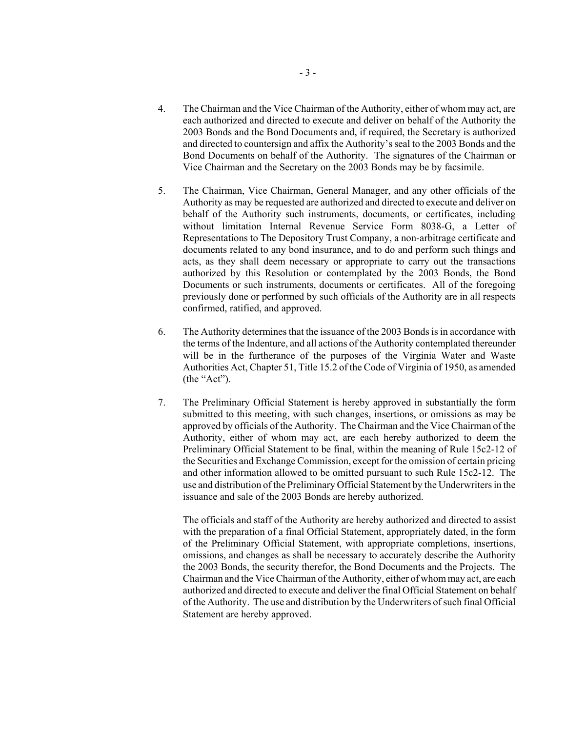- 4. The Chairman and the Vice Chairman of the Authority, either of whom may act, are each authorized and directed to execute and deliver on behalf of the Authority the 2003 Bonds and the Bond Documents and, if required, the Secretary is authorized and directed to countersign and affix the Authority's seal to the 2003 Bonds and the Bond Documents on behalf of the Authority. The signatures of the Chairman or Vice Chairman and the Secretary on the 2003 Bonds may be by facsimile.
- 5. The Chairman, Vice Chairman, General Manager, and any other officials of the Authority as may be requested are authorized and directed to execute and deliver on behalf of the Authority such instruments, documents, or certificates, including without limitation Internal Revenue Service Form 8038-G, a Letter of Representations to The Depository Trust Company, a non-arbitrage certificate and documents related to any bond insurance, and to do and perform such things and acts, as they shall deem necessary or appropriate to carry out the transactions authorized by this Resolution or contemplated by the 2003 Bonds, the Bond Documents or such instruments, documents or certificates. All of the foregoing previously done or performed by such officials of the Authority are in all respects confirmed, ratified, and approved.
- 6. The Authority determines that the issuance of the 2003 Bonds is in accordance with the terms of the Indenture, and all actions of the Authority contemplated thereunder will be in the furtherance of the purposes of the Virginia Water and Waste Authorities Act, Chapter 51, Title 15.2 of the Code of Virginia of 1950, as amended (the "Act").
- 7. The Preliminary Official Statement is hereby approved in substantially the form submitted to this meeting, with such changes, insertions, or omissions as may be approved by officials of the Authority. The Chairman and the Vice Chairman of the Authority, either of whom may act, are each hereby authorized to deem the Preliminary Official Statement to be final, within the meaning of Rule 15c2-12 of the Securities and Exchange Commission, except for the omission of certain pricing and other information allowed to be omitted pursuant to such Rule 15c2-12. The use and distribution of the Preliminary Official Statement by the Underwriters in the issuance and sale of the 2003 Bonds are hereby authorized.

The officials and staff of the Authority are hereby authorized and directed to assist with the preparation of a final Official Statement, appropriately dated, in the form of the Preliminary Official Statement, with appropriate completions, insertions, omissions, and changes as shall be necessary to accurately describe the Authority the 2003 Bonds, the security therefor, the Bond Documents and the Projects. The Chairman and the Vice Chairman of the Authority, either of whom may act, are each authorized and directed to execute and deliver the final Official Statement on behalf of the Authority. The use and distribution by the Underwriters of such final Official Statement are hereby approved.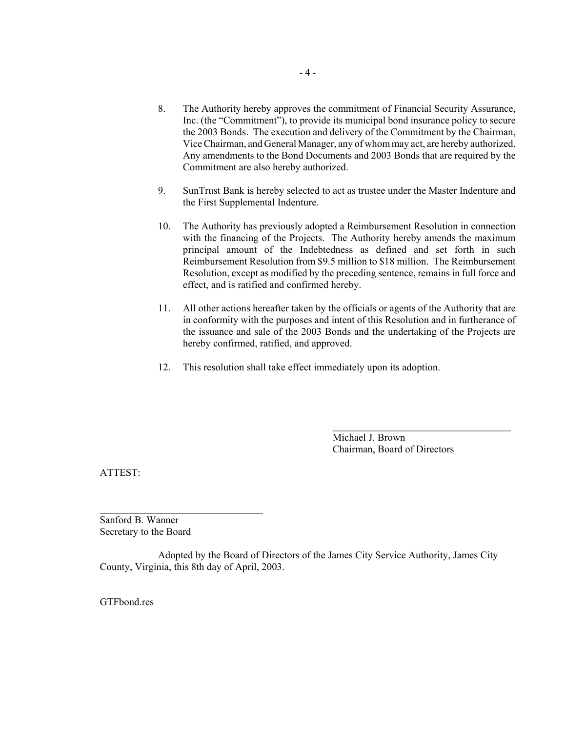- 8. The Authority hereby approves the commitment of Financial Security Assurance, Inc. (the "Commitment"), to provide its municipal bond insurance policy to secure the 2003 Bonds. The execution and delivery of the Commitment by the Chairman, Vice Chairman, and General Manager, any of whom may act, are hereby authorized. Any amendments to the Bond Documents and 2003 Bonds that are required by the Commitment are also hereby authorized.
- 9. SunTrust Bank is hereby selected to act as trustee under the Master Indenture and the First Supplemental Indenture.
- 10. The Authority has previously adopted a Reimbursement Resolution in connection with the financing of the Projects. The Authority hereby amends the maximum principal amount of the Indebtedness as defined and set forth in such Reimbursement Resolution from \$9.5 million to \$18 million. The Reimbursement Resolution, except as modified by the preceding sentence, remains in full force and effect, and is ratified and confirmed hereby.
- 11. All other actions hereafter taken by the officials or agents of the Authority that are in conformity with the purposes and intent of this Resolution and in furtherance of the issuance and sale of the 2003 Bonds and the undertaking of the Projects are hereby confirmed, ratified, and approved.
- 12. This resolution shall take effect immediately upon its adoption.

Michael J. Brown Chairman, Board of Directors

 $\overline{\phantom{a}}$  , where  $\overline{\phantom{a}}$  , where  $\overline{\phantom{a}}$  , where  $\overline{\phantom{a}}$ 

ATTEST:

Sanford B. Wanner Secretary to the Board

 $\mathcal{L}_\text{max}$ 

Adopted by the Board of Directors of the James City Service Authority, James City County, Virginia, this 8th day of April, 2003.

GTFbond.res